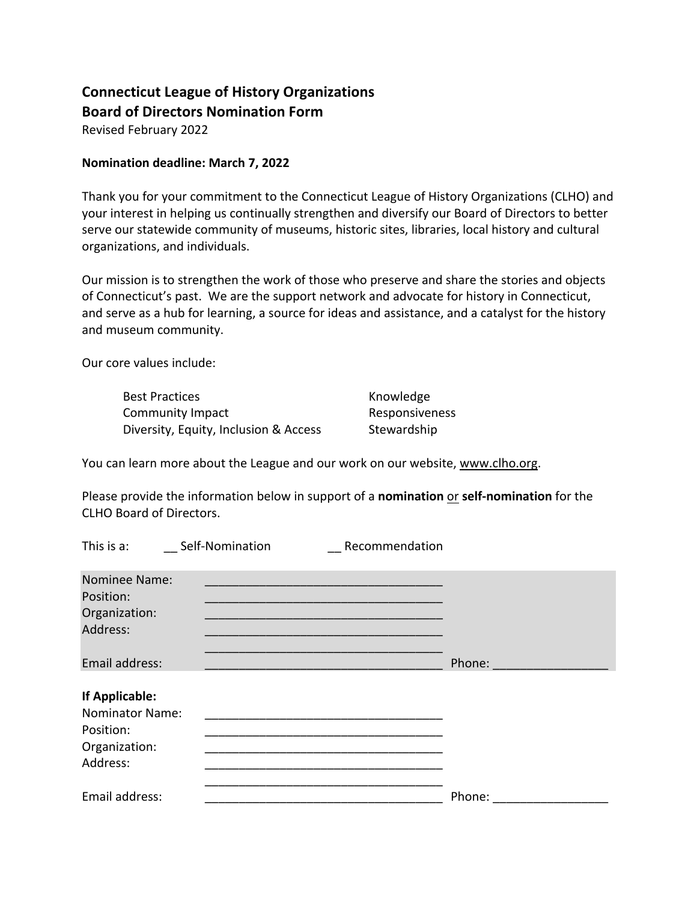## **Connecticut League of History Organizations Board of Directors Nomination Form**

Revised February 2022

## **Nomination deadline: March 7, 2022**

Thank you for your commitment to the Connecticut League of History Organizations (CLHO) and your interest in helping us continually strengthen and diversify our Board of Directors to better serve our statewide community of museums, historic sites, libraries, local history and cultural organizations, and individuals.

Our mission is to strengthen the work of those who preserve and share the stories and objects of Connecticut's past. We are the support network and advocate for history in Connecticut, and serve as a hub for learning, a source for ideas and assistance, and a catalyst for the history and museum community.

Our core values include:

| <b>Best Practices</b>                 |  |
|---------------------------------------|--|
| Community Impact                      |  |
| Diversity, Equity, Inclusion & Access |  |

Knowledge Responsiveness Stewardship

You can learn more about the League and our work on our website, www.clho.org.

Please provide the information below in support of a **nomination** or **self-nomination** for the CLHO Board of Directors.

| This is a:                                                                         | Self-Nomination | Recommendation                                                                                                                                                                                                                                                                                                                                         |        |
|------------------------------------------------------------------------------------|-----------------|--------------------------------------------------------------------------------------------------------------------------------------------------------------------------------------------------------------------------------------------------------------------------------------------------------------------------------------------------------|--------|
| <b>Nominee Name:</b><br>Position:<br>Organization:<br>Address:                     |                 | the control of the control of the control of the control of the control of the control of the control of the control of the control of the control of the control of the control of the control of the control of the control<br><u> 1989 - Johann John Stoff, deutscher Stoffen und der Stoffen und der Stoffen und der Stoffen und der Stoffen u</u> |        |
| Email address:                                                                     |                 |                                                                                                                                                                                                                                                                                                                                                        | Phone: |
| If Applicable:<br><b>Nominator Name:</b><br>Position:<br>Organization:<br>Address: |                 |                                                                                                                                                                                                                                                                                                                                                        |        |
| Email address:                                                                     |                 |                                                                                                                                                                                                                                                                                                                                                        | Phone: |